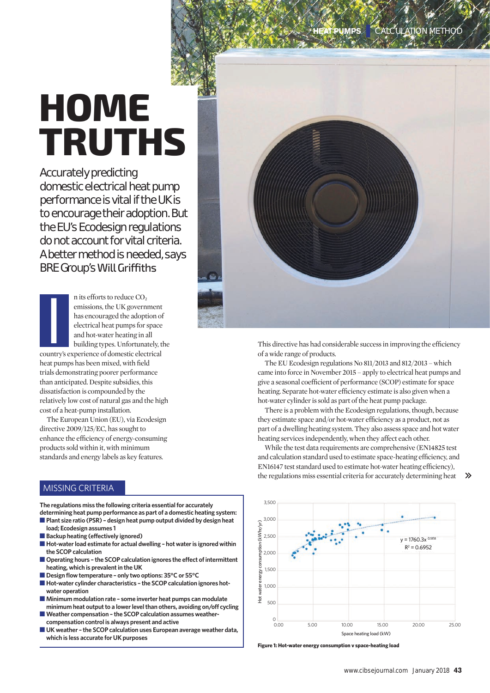# **HOME TRUTHS**

Accurately predicting domestic electrical heat pump performance is vital if the UK is to encourage their adoption. But the EU's Ecodesign regulations do not account for vital criteria. A better method is needed, says **BRE Group's Will Griffiths** 

n its efforts to reduce  $CO<sub>2</sub>$ emissions, the UK government has encouraged the adoption of electrical heat pumps for space and hot-water heating in all building types. Unfortunately, the country's experience of domestic electrical heat pumps has been mixed, with field trials demonstrating poorer performance than anticipated. Despite subsidies, this dissatisfaction is compounded by the relatively low cost of natural gas and the high cost of a heat-pump installation. **I**<br>I

The European Union (EU), via Ecodesign directive 2009/125/EC, has sought to enhance the efficiency of energy-consuming products sold within it, with minimum standards and energy labels as key features.

# MISSING CRITERIA

**The regulations miss the following criteria essential for accurately determining heat pump performance as part of a domestic heating system:**

- **Plant size ratio (PSR) design heat pump output divided by design heat load; Ecodesign assumes 1**
- Backup heating (effectively ignored)
- Hot-water load estimate for actual dwelling hot water is ignored within **the SCOP calculation**
- Operating hours the SCOP calculation ignores the effect of intermittent **heating, which is prevalent in the UK**
- Design flow temperature only two options: 35°C or 55°C
- Hot-water cylinder characteristics the SCOP calculation ignores hot**water operation**
- ■ **Minimum modulation rate some inverter heat pumps can modulate minimum heat output to a lower level than others, avoiding on/off cycling**
- Weather compensation the SCOP calculation assumes weather**compensation control is always present and active**
- UK weather the SCOP calculation uses European average weather data, **which is less accurate for UK purposes**



This directive has had considerable success in improving the efficiency of a wide range of products.

The EU Ecodesign regulations No 811/2013 and 812/2013 – which came into force in November 2015 – apply to electrical heat pumps and give a seasonal coefficient of performance (SCOP) estimate for space heating. Separate hot-water efficiency estimate is also given when a hot-water cylinder is sold as part of the heat pump package.

There is a problem with the Ecodesign regulations, though, because they estimate space and/or hot-water efficiency as a product, not as part of a dwelling heating system. They also assess space and hot water heating services independently, when they affect each other.

While the test data requirements are comprehensive (EN14825 test and calculation standard used to estimate space-heating efficiency, and EN16147 test standard used to estimate hot-water heating efficiency), the regulations miss essential criteria for accurately determining heat



 $\rightarrow$